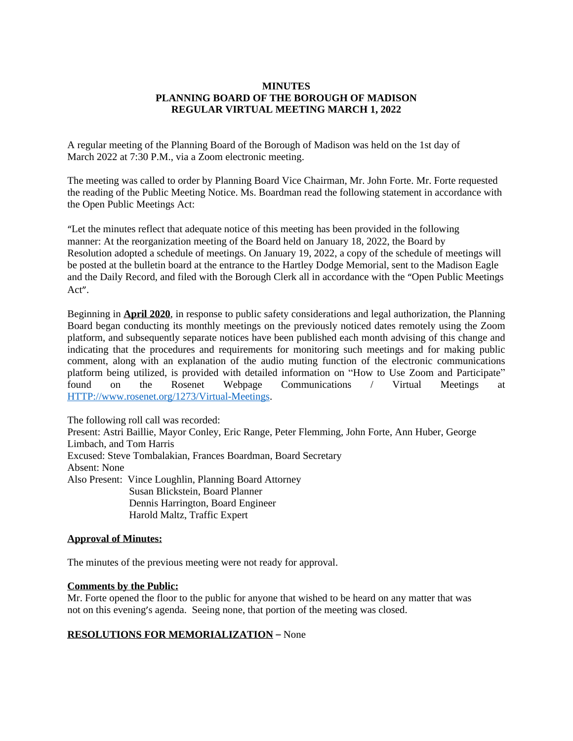# **MINUTES PLANNING BOARD OF THE BOROUGH OF MADISON REGULAR VIRTUAL MEETING MARCH 1, 2022**

A regular meeting of the Planning Board of the Borough of Madison was held on the 1st day of March 2022 at 7:30 P.M., via a Zoom electronic meeting.

The meeting was called to order by Planning Board Vice Chairman, Mr. John Forte. Mr. Forte requested the reading of the Public Meeting Notice. Ms. Boardman read the following statement in accordance with the Open Public Meetings Act:

"Let the minutes reflect that adequate notice of this meeting has been provided in the following manner: At the reorganization meeting of the Board held on January 18, 2022, the Board by Resolution adopted a schedule of meetings. On January 19, 2022, a copy of the schedule of meetings will be posted at the bulletin board at the entrance to the Hartley Dodge Memorial, sent to the Madison Eagle and the Daily Record, and filed with the Borough Clerk all in accordance with the "Open Public Meetings Act".

Beginning in **April 2020**, in response to public safety considerations and legal authorization, the Planning Board began conducting its monthly meetings on the previously noticed dates remotely using the Zoom platform, and subsequently separate notices have been published each month advising of this change and indicating that the procedures and requirements for monitoring such meetings and for making public comment, along with an explanation of the audio muting function of the electronic communications platform being utilized, is provided with detailed information on "How to Use Zoom and Participate" found on the Rosenet Webpage Communications / Virtual Meetings at <HTTP://www.rosenet.org/1273/Virtual-Meetings>.

The following roll call was recorded: Present: Astri Baillie, Mayor Conley, Eric Range, Peter Flemming, John Forte, Ann Huber, George Limbach, and Tom Harris Excused: Steve Tombalakian, Frances Boardman, Board Secretary Absent: None Also Present: Vince Loughlin, Planning Board Attorney Susan Blickstein, Board Planner Dennis Harrington, Board Engineer Harold Maltz, Traffic Expert

# **Approval of Minutes:**

The minutes of the previous meeting were not ready for approval.

### **Comments by the Public:**

Mr. Forte opened the floor to the public for anyone that wished to be heard on any matter that was not on this evening's agenda. Seeing none, that portion of the meeting was closed.

# **RESOLUTIONS FOR MEMORIALIZATION** – None